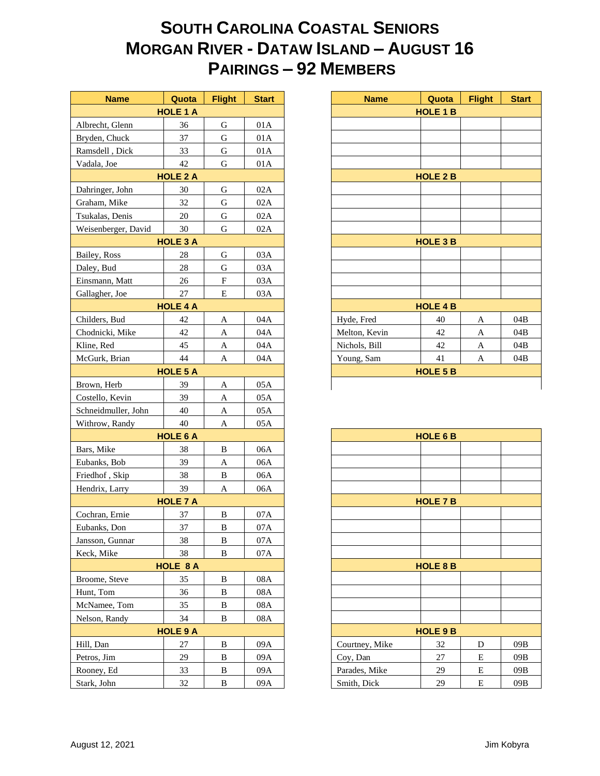## **SOUTH CAROLINA COASTAL SENIORS MORGAN RIVER - DATAW ISLAND – AUGUST 16 PAIRINGS – 92 MEMBERS**

| <b>Name</b>         | Quota           | <b>Flight</b>             | <b>Start</b> |
|---------------------|-----------------|---------------------------|--------------|
|                     | <b>HOLE 1 A</b> |                           |              |
| Albrecht, Glenn     | 36              | $\mathbf G$               | 01A          |
| Bryden, Chuck       | 37              | ${\bf G}$                 | 01A          |
| Ramsdell, Dick      | 33              | G                         | 01A          |
| Vadala, Joe         | 42              | G                         | 01A          |
|                     | <b>HOLE 2 A</b> |                           |              |
| Dahringer, John     | 30              | G                         | 02A          |
| Graham, Mike        | 32              | $\mathbf G$               | 02A          |
| Tsukalas, Denis     | 20              | G                         | 02A          |
| Weisenberger, David | 30              | $\mathbf G$               | 02A          |
|                     | <b>HOLE 3 A</b> |                           |              |
| Bailey, Ross        | 28              | G                         | 03A          |
| Daley, Bud          | 28              | $\mathbf G$               | 03A          |
| Einsmann, Matt      | 26              | $\boldsymbol{\mathrm{F}}$ | 03A          |
| Gallagher, Joe      | 27              | E                         | 03A          |
|                     | <b>HOLE 4 A</b> |                           |              |
| Childers, Bud       | 42              | A                         | 04A          |
| Chodnicki, Mike     | 42              | A                         | 04A          |
| Kline, Red          | 45              | A                         | 04A          |
| McGurk, Brian       | 44              | A                         | 04A          |
|                     | <b>HOLE 5 A</b> |                           |              |
| Brown, Herb         | 39              |                           | 05A          |
|                     |                 | A                         |              |
| Costello, Kevin     | 39              | $\boldsymbol{A}$          | 05A          |
| Schneidmuller, John | 40              | A                         | 05A          |
| Withrow, Randy      | 40              | A                         | 05A          |
|                     | <b>HOLE 6 A</b> |                           |              |
| Bars, Mike          | 38              | B                         | 06A          |
| Eubanks, Bob        | 39              | A                         | 06A          |
| Friedhof, Skip      | 38              | $\, {\bf B}$              | 06A          |
| Hendrix, Larry      | 39              | A                         | 06A          |
|                     | <b>HOLE 7 A</b> |                           |              |
| Cochran, Ernie      | 37              | $\, {\bf B}$              | 07A          |
| Eubanks, Don        | 37              | B                         | 07A          |
| Jansson, Gunnar     | 38              | B                         | 07A          |
| Keck, Mike          | 38              | B                         | 07A          |
|                     | <b>HOLE 8 A</b> |                           |              |
| Broome, Steve       | 35              | $\, {\bf B}$              | $08A$        |
| Hunt, Tom           | 36              | B                         | 08A          |
| McNamee, Tom        | 35              | B                         | 08A          |
| Nelson, Randy       | 34              | B                         | 08A          |
|                     | <b>HOLE 9 A</b> |                           |              |
| Hill, Dan           | 27              | B                         | 09A          |
| Petros, Jim         | 29              | B                         | 09A          |
| Rooney, Ed          | 33              | $\, {\bf B}$              | 09A          |
| Stark, John         | $32\,$          | $\, {\bf B}$              | 09A          |
|                     |                 |                           |              |

| <b>Name</b>     | Quota           | <b>Flight</b> | <b>Start</b> |
|-----------------|-----------------|---------------|--------------|
|                 | <b>HOLE 1 A</b> |               |              |
| t, Glenn        | 36              | G             | 01A          |
| Chuck           | 37              | G             | 01A          |
| ll, Dick        | 33              | G             | 01A          |
| Joe             | 42              | G             | 01A          |
| <b>HOLE 2 A</b> |                 |               |              |
| er, John        | 30              | G             | 02A          |
| , Mike          | 32              | G             | 02A          |
| s, Denis        | 20              | G             | 02A          |
| erger, David    | 30              | G             | 02A          |
| <b>HOLE 3 A</b> |                 |               |              |
| Ross            | 28              | G             | 03A          |
| ud.             | 28              | G             | 03A          |
| ın, Matt        | 26              | F             | 03A          |
| er, Joe         | 27              | E             | 03A          |
| <b>HOLE 4 A</b> |                 |               |              |
| , Bud           | 42              | $\mathbf{A}$  | 04A          |
| ki, Mike        | 42              | A             | 04A          |
| ed              | 45              | A             | 04A          |
| , Brian         | 44              | $\mathbf{A}$  | 04A          |
| <b>HOLE 5 A</b> |                 |               |              |
| Herb            | 39              | A             | 05A          |

|                 | <b>HOLE 6 B</b> |   |     |  |  |  |  |
|-----------------|-----------------|---|-----|--|--|--|--|
|                 |                 |   |     |  |  |  |  |
|                 |                 |   |     |  |  |  |  |
|                 |                 |   |     |  |  |  |  |
|                 |                 |   |     |  |  |  |  |
| <b>HOLE 7 B</b> |                 |   |     |  |  |  |  |
|                 |                 |   |     |  |  |  |  |
|                 |                 |   |     |  |  |  |  |
|                 |                 |   |     |  |  |  |  |
|                 |                 |   |     |  |  |  |  |
| <b>HOLE 8 B</b> |                 |   |     |  |  |  |  |
|                 |                 |   |     |  |  |  |  |
|                 |                 |   |     |  |  |  |  |
|                 |                 |   |     |  |  |  |  |
|                 |                 |   |     |  |  |  |  |
| <b>HOLE 9 B</b> |                 |   |     |  |  |  |  |
| Courtney, Mike  | 32              | D | 09B |  |  |  |  |
| Coy, Dan        | 27              | Е | 09B |  |  |  |  |
| Parades, Mike   | 29              | Е | 09B |  |  |  |  |
| Smith, Dick     | 29              | E | 09B |  |  |  |  |